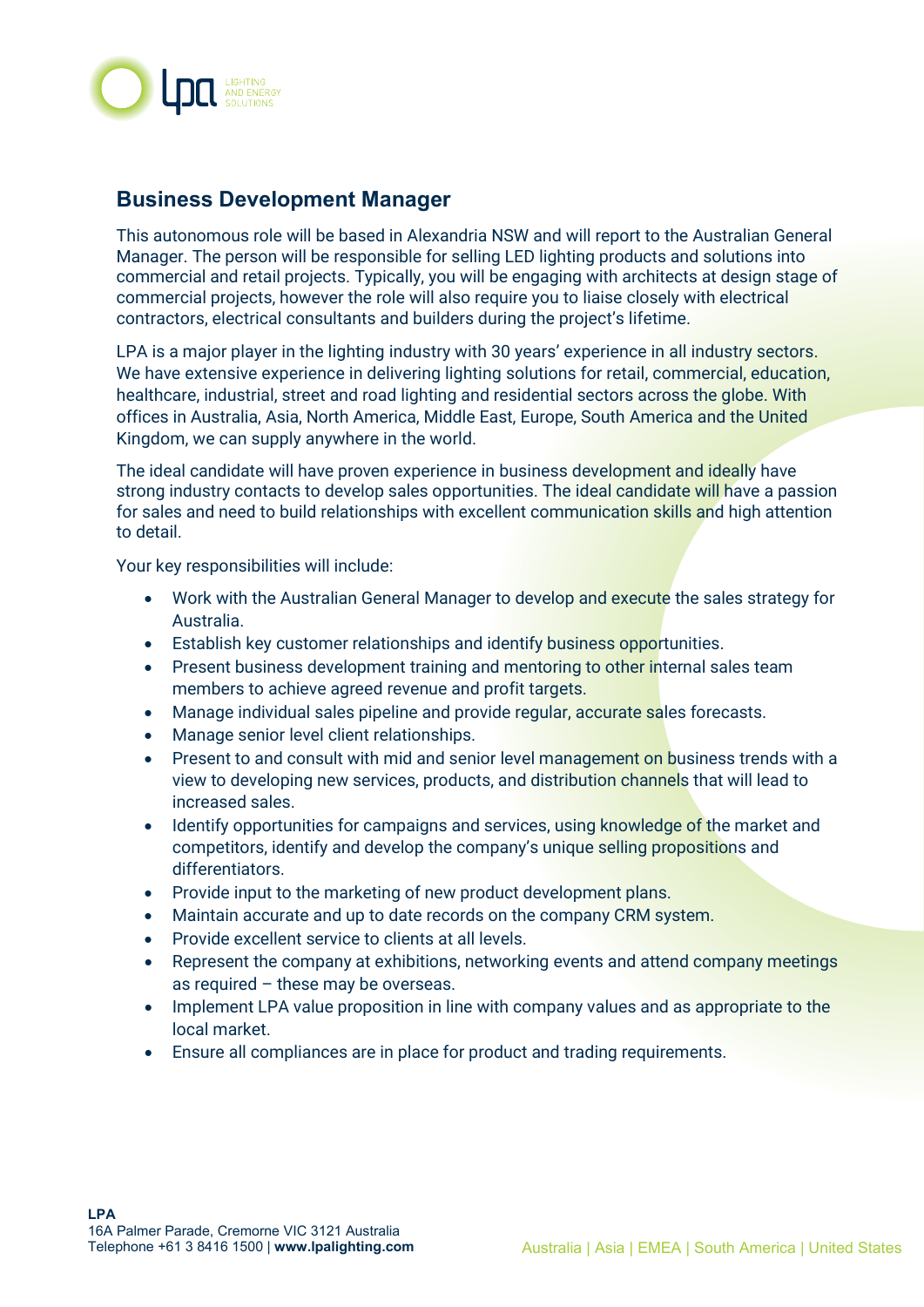

## **Business Development Manager**

This autonomous role will be based in Alexandria NSW and will report to the Australian General Manager. The person will be responsible for selling LED lighting products and solutions into commercial and retail projects. Typically, you will be engaging with architects at design stage of commercial projects, however the role will also require you to liaise closely with electrical contractors, electrical consultants and builders during the project's lifetime.

LPA is a major player in the lighting industry with 30 years' experience in all industry sectors. We have extensive experience in delivering lighting solutions for retail, commercial, education, healthcare, industrial, street and road lighting and residential sectors across the globe. With offices in Australia, Asia, North America, Middle East, Europe, South America and the United Kingdom, we can supply anywhere in the world.

The ideal candidate will have proven experience in business development and ideally have strong industry contacts to develop sales opportunities. The ideal candidate will have a passion for sales and need to build relationships with excellent communication skills and high attention to detail.

Your key responsibilities will include:

- Work with the Australian General Manager to develop and execute the sales strategy for Australia.
- Establish key customer relationships and identify business opportunities.
- Present business development training and mentoring to other internal sales team members to achieve agreed revenue and profit targets.
- Manage individual sales pipeline and provide regular, accurate sales forecasts.
- Manage senior level client relationships.
- Present to and consult with mid and senior level management on business trends with a view to developing new services, products, and distribution channels that will lead to increased sales.
- Identify opportunities for campaigns and services, using knowledge of the market and competitors, identify and develop the company's unique selling propositions and differentiators.
- Provide input to the marketing of new product development plans.
- Maintain accurate and up to date records on the company CRM system.
- Provide excellent service to clients at all levels.
- Represent the company at exhibitions, networking events and attend company meetings as required  $-$  these may be overseas.
- Implement LPA value proposition in line with company values and as appropriate to the local market.
- Ensure all compliances are in place for product and trading requirements.